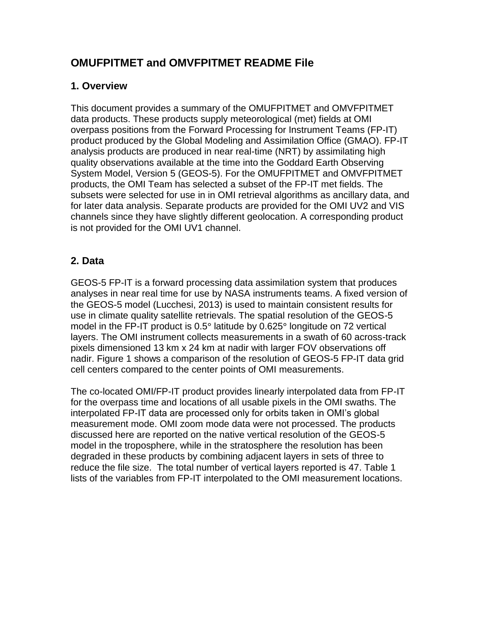# **OMUFPITMET and OMVFPITMET README File**

### **1. Overview**

This document provides a summary of the OMUFPITMET and OMVFPITMET data products. These products supply meteorological (met) fields at OMI overpass positions from the Forward Processing for Instrument Teams (FP-IT) product produced by the Global Modeling and Assimilation Office (GMAO). FP-IT analysis products are produced in near real-time (NRT) by assimilating high quality observations available at the time into the Goddard Earth Observing System Model, Version 5 (GEOS-5). For the OMUFPITMET and OMVFPITMET products, the OMI Team has selected a subset of the FP-IT met fields. The subsets were selected for use in in OMI retrieval algorithms as ancillary data, and for later data analysis. Separate products are provided for the OMI UV2 and VIS channels since they have slightly different geolocation. A corresponding product is not provided for the OMI UV1 channel.

# **2. Data**

GEOS-5 FP-IT is a forward processing data assimilation system that produces analyses in near real time for use by NASA instruments teams. A fixed version of the GEOS-5 model (Lucchesi, 2013) is used to maintain consistent results for use in climate quality satellite retrievals. The spatial resolution of the GEOS-5 model in the FP-IT product is 0.5**°** latitude by 0.625**°** longitude on 72 vertical layers. The OMI instrument collects measurements in a swath of 60 across-track pixels dimensioned 13 km x 24 km at nadir with larger FOV observations off nadir. Figure 1 shows a comparison of the resolution of GEOS-5 FP-IT data grid cell centers compared to the center points of OMI measurements.

The co-located OMI/FP-IT product provides linearly interpolated data from FP-IT for the overpass time and locations of all usable pixels in the OMI swaths. The interpolated FP-IT data are processed only for orbits taken in OMI's global measurement mode. OMI zoom mode data were not processed. The products discussed here are reported on the native vertical resolution of the GEOS-5 model in the troposphere, while in the stratosphere the resolution has been degraded in these products by combining adjacent layers in sets of three to reduce the file size. The total number of vertical layers reported is 47. Table 1 lists of the variables from FP-IT interpolated to the OMI measurement locations.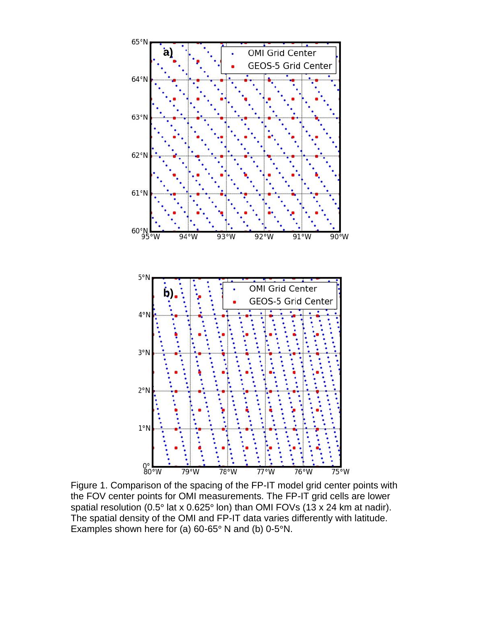

Figure 1. Comparison of the spacing of the FP-IT model grid center points with the FOV center points for OMI measurements. The FP-IT grid cells are lower spatial resolution (0.5**°** lat x 0.625**°** lon) than OMI FOVs (13 x 24 km at nadir). The spatial density of the OMI and FP-IT data varies differently with latitude. Examples shown here for (a) 60-65**°** N and (b) 0-5**°**N.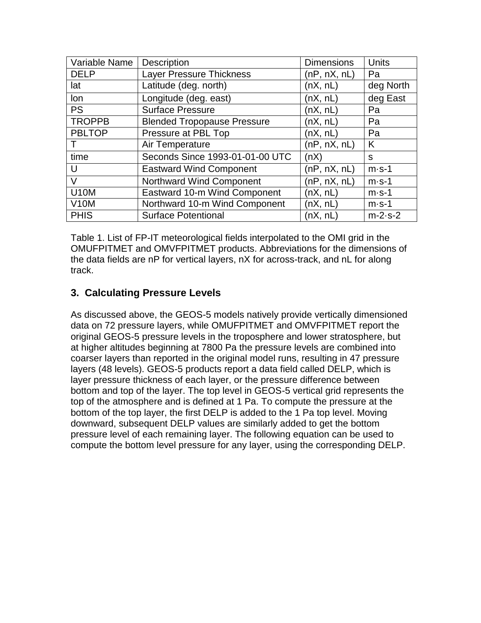| Variable Name | Description                        | <b>Dimensions</b> | <b>Units</b> |
|---------------|------------------------------------|-------------------|--------------|
| <b>DELP</b>   | <b>Layer Pressure Thickness</b>    | (nP, nX, nL)      | Pa           |
| lat           | Latitude (deg. north)              | (nX, nL)          | deg North    |
| lon           | Longitude (deg. east)              | (nX, nL)          | deg East     |
| <b>PS</b>     | <b>Surface Pressure</b>            | (nX, nL)          | Pa           |
| <b>TROPPB</b> | <b>Blended Tropopause Pressure</b> | (nX, nL)          | Pa           |
| <b>PBLTOP</b> | Pressure at PBL Top                | (nX, nL)          | Pa           |
|               | Air Temperature                    | (nP, nX, nL)      | K            |
| time          | Seconds Since 1993-01-01-00 UTC    | (nX)              | <sub>S</sub> |
| U             | <b>Eastward Wind Component</b>     | (nP, nX, nL)      | $m-s-1$      |
| $\vee$        | Northward Wind Component           | (nP, nX, nL)      | $m·s-1$      |
| <b>U10M</b>   | Eastward 10-m Wind Component       | (nX, nL)          | $m-s-1$      |
| <b>V10M</b>   | Northward 10-m Wind Component      | (nX, nL)          | $m-s-1$      |
| <b>PHIS</b>   | <b>Surface Potentional</b>         | (nX, nL)          | $m-2-s-2$    |

Table 1. List of FP-IT meteorological fields interpolated to the OMI grid in the OMUFPITMET and OMVFPITMET products. Abbreviations for the dimensions of the data fields are nP for vertical layers, nX for across-track, and nL for along track.

# **3. Calculating Pressure Levels**

As discussed above, the GEOS-5 models natively provide vertically dimensioned data on 72 pressure layers, while OMUFPITMET and OMVFPITMET report the original GEOS-5 pressure levels in the troposphere and lower stratosphere, but at higher altitudes beginning at 7800 Pa the pressure levels are combined into coarser layers than reported in the original model runs, resulting in 47 pressure layers (48 levels). GEOS-5 products report a data field called DELP, which is layer pressure thickness of each layer, or the pressure difference between bottom and top of the layer. The top level in GEOS-5 vertical grid represents the top of the atmosphere and is defined at 1 Pa. To compute the pressure at the bottom of the top layer, the first DELP is added to the 1 Pa top level. Moving downward, subsequent DELP values are similarly added to get the bottom pressure level of each remaining layer. The following equation can be used to compute the bottom level pressure for any layer, using the corresponding DELP.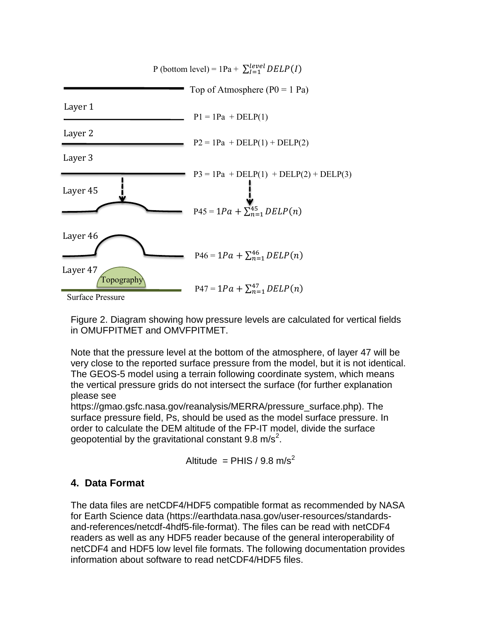

Figure 2. Diagram showing how pressure levels are calculated for vertical fields in OMUFPITMET and OMVFPITMET.

Note that the pressure level at the bottom of the atmosphere, of layer 47 will be very close to the reported surface pressure from the model, but it is not identical. The GEOS-5 model using a terrain following coordinate system, which means the vertical pressure grids do not intersect the surface (for further explanation please see

https://gmao.gsfc.nasa.gov/reanalysis/MERRA/pressure\_surface.php). The surface pressure field, Ps, should be used as the model surface pressure. In order to calculate the DEM altitude of the FP-IT model, divide the surface geopotential by the gravitational constant 9.8 m/s<sup>2</sup>.

Altitude = PHIS /  $9.8 \text{ m/s}^2$ 

### **4. Data Format**

The data files are netCDF4/HDF5 compatible format as recommended by NASA for Earth Science data (https://earthdata.nasa.gov/user-resources/standardsand-references/netcdf-4hdf5-file-format). The files can be read with netCDF4 readers as well as any HDF5 reader because of the general interoperability of netCDF4 and HDF5 low level file formats. The following documentation provides information about software to read netCDF4/HDF5 files.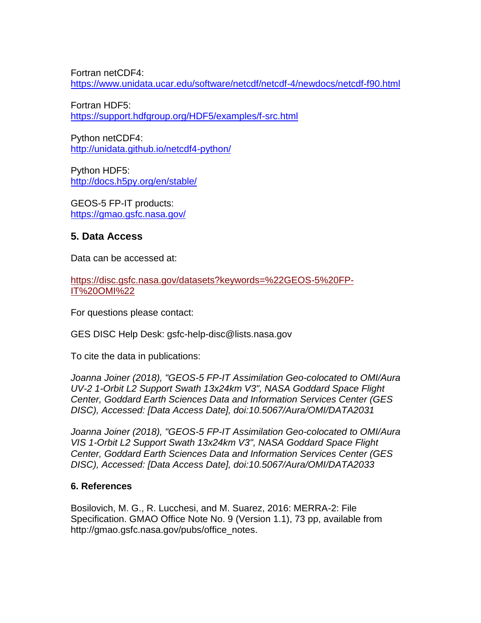Fortran netCDF4: <https://www.unidata.ucar.edu/software/netcdf/netcdf-4/newdocs/netcdf-f90.html>

Fortran HDF5: <https://support.hdfgroup.org/HDF5/examples/f-src.html>

Python netCDF4: <http://unidata.github.io/netcdf4-python/>

Python HDF5: <http://docs.h5py.org/en/stable/>

GEOS-5 FP-IT products: <https://gmao.gsfc.nasa.gov/>

### **5. Data Access**

Data can be accessed at:

[https://disc.gsfc.nasa.gov/datasets?keywords=%22GEOS-5%20FP-](https://disc.gsfc.nasa.gov/datasets?keywords=%22GEOS-5%20FP-IT%20OMI%22)[IT%20OMI%22](https://disc.gsfc.nasa.gov/datasets?keywords=%22GEOS-5%20FP-IT%20OMI%22)

For questions please contact:

GES DISC Help Desk: gsfc-help-disc@lists.nasa.gov

To cite the data in publications:

*Joanna Joiner (2018), "GEOS-5 FP-IT Assimilation Geo-colocated to OMI/Aura UV-2 1-Orbit L2 Support Swath 13x24km V3", NASA Goddard Space Flight Center, Goddard Earth Sciences Data and Information Services Center (GES DISC), Accessed: [Data Access Date], doi:10.5067/Aura/OMI/DATA2031*

*Joanna Joiner (2018), "GEOS-5 FP-IT Assimilation Geo-colocated to OMI/Aura VIS 1-Orbit L2 Support Swath 13x24km V3", NASA Goddard Space Flight Center, Goddard Earth Sciences Data and Information Services Center (GES DISC), Accessed: [Data Access Date], doi:10.5067/Aura/OMI/DATA2033*

### **6. References**

Bosilovich, M. G., R. Lucchesi, and M. Suarez, 2016: MERRA-2: File Specification. GMAO Office Note No. 9 (Version 1.1), 73 pp, available from http://gmao.gsfc.nasa.gov/pubs/office\_notes.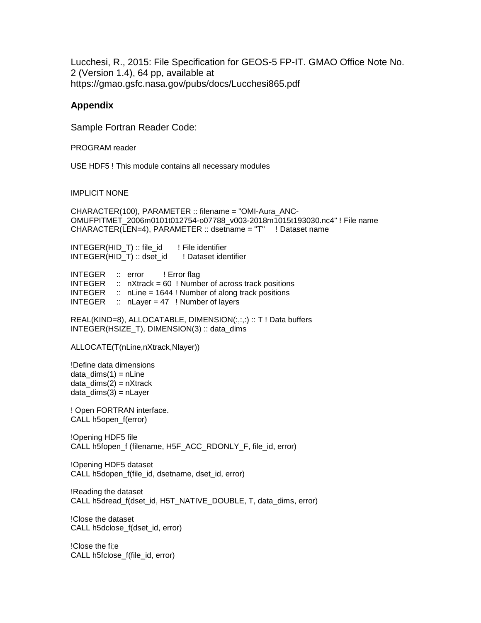Lucchesi, R., 2015: File Specification for GEOS-5 FP-IT. GMAO Office Note No. 2 (Version 1.4), 64 pp, available at https://gmao.gsfc.nasa.gov/pubs/docs/Lucchesi865.pdf

#### **Appendix**

Sample Fortran Reader Code:

PROGRAM reader

USE HDF5 ! This module contains all necessary modules

IMPLICIT NONE

CHARACTER(100), PARAMETER :: filename = "OMI-Aura\_ANC-OMUFPITMET\_2006m0101t012754-o07788\_v003-2018m1015t193030.nc4" ! File name CHARACTER(LEN=4), PARAMETER :: dsetname = "T" ! Dataset name

 $INTER(HID T) :: file id$  ! File identifier INTEGER(HID\_T) :: dset\_id ! Dataset identifier

INTEGER :: error ! Error flag  $INTER :: nXtrack = 60 ! Number of across track positions$  $INTER :: nLine = 1644! Number of along track positions$  $INTER :: nLayer = 47 ! Number of layers$ 

REAL(KIND=8), ALLOCATABLE, DIMENSION(:,:,:) :: T ! Data buffers INTEGER(HSIZE\_T), DIMENSION(3) :: data\_dims

ALLOCATE(T(nLine,nXtrack,Nlayer))

!Define data dimensions data  $dims(1) = nLine$  $data\_dims(2) = nXtrack$  $data\_dims(3) = nLayer$ 

! Open FORTRAN interface. CALL h5open\_f(error)

!Opening HDF5 file CALL h5fopen\_f (filename, H5F\_ACC\_RDONLY\_F, file\_id, error)

!Opening HDF5 dataset CALL h5dopen\_f(file\_id, dsetname, dset\_id, error)

!Reading the dataset CALL h5dread\_f(dset\_id, H5T\_NATIVE\_DOUBLE, T, data\_dims, error)

!Close the dataset CALL h5dclose\_f(dset\_id, error)

!Close the fi;e CALL h5fclose\_f(file\_id, error)